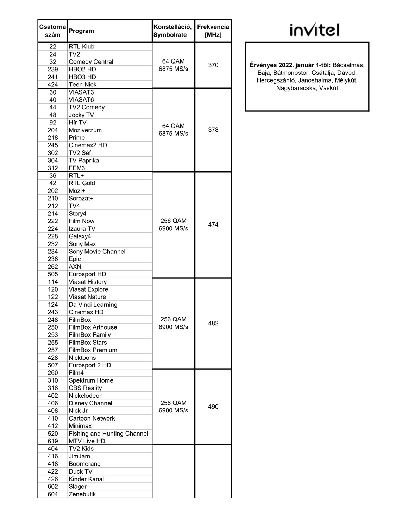| Csatorna<br>szám | Program                            | Konstelláció,<br>Symbolrate | <b>Frekvencia</b><br>[MHz] |
|------------------|------------------------------------|-----------------------------|----------------------------|
| 22               | <b>RTL Klub</b>                    |                             |                            |
| 24               | TV2                                |                             |                            |
| 32               | <b>Comedy Central</b>              | 64 QAM                      |                            |
| 239              | HBO <sub>2</sub> HD                | 6875 MS/s                   | 370                        |
| 241              | HBO <sub>3</sub> HD                |                             |                            |
| 424              | <b>Teen Nick</b>                   |                             |                            |
| 30               | <b>VIASAT3</b>                     |                             |                            |
| 40               | VIASAT6                            |                             |                            |
| 44               | TV2 Comedy                         |                             |                            |
| 48               | Jocky TV                           |                             |                            |
| 92               | Hír TV                             | 64 QAM                      |                            |
| 204              | Moziverzum                         | 6875 MS/s                   | 378                        |
| 218              | Prime                              |                             |                            |
| 245              | Cinemax <sub>2</sub> HD            |                             |                            |
| 302              | TV2 Séf                            |                             |                            |
| 304              | <b>TV Paprika</b>                  |                             |                            |
| 312              | FEM3                               |                             |                            |
| 36               | $RTL+$                             |                             |                            |
| 42               | <b>RTL Gold</b>                    |                             |                            |
| 202              | Mozi+                              |                             |                            |
| 210              | Sorozat+                           |                             |                            |
| 212              | TV4                                |                             |                            |
| 214              | Story4                             |                             |                            |
| 222              | <b>Film Now</b>                    | 256 QAM                     |                            |
| 224              | Izaura TV                          | 6900 MS/s                   | 474                        |
| 228              | Galaxy4                            |                             |                            |
| 232              | Sony Max                           |                             |                            |
| 234              | Sony Movie Channel                 |                             |                            |
| 236              | Epic                               |                             |                            |
| 262              | <b>AXN</b>                         |                             |                            |
| 505              | Eurosport HD                       |                             |                            |
| 114              | <b>Viasat History</b>              |                             |                            |
| 120              | Viasat Explore                     |                             |                            |
| 122              | <b>Viasat Nature</b>               |                             |                            |
| 124              | Da Vinci Learning                  |                             |                            |
| 243              | Cinemax HD                         |                             |                            |
| 248              | FilmBox                            | 256 QAM                     |                            |
| 250              | <b>FilmBox Arthouse</b>            | 6900 MS/s                   | 482                        |
| 253              | <b>FilmBox Family</b>              |                             |                            |
| 255              | <b>FilmBox Stars</b>               |                             |                            |
| 257              | <b>FilmBox Premium</b>             |                             |                            |
| 428              | <b>Nicktoons</b>                   |                             |                            |
| 507              | Eurosport 2 HD                     |                             |                            |
| 260              | Film4                              |                             |                            |
| 310              | Spektrum Home                      |                             |                            |
| 316              | <b>CBS Reality</b>                 |                             |                            |
| 402              | Nickelodeon                        |                             |                            |
| 406              | Disney Channel                     | 256 QAM                     |                            |
| 408              | Nick Jr                            | 6900 MS/s                   | 490                        |
| 410              | <b>Cartoon Network</b>             |                             |                            |
| 412              | Minimax                            |                             |                            |
| 520              | <b>Fishing and Hunting Channel</b> |                             |                            |
| 619              | MTV Live HD                        |                             |                            |
| 404              | TV2 Kids                           |                             |                            |
| 416              | JimJam                             |                             |                            |
| 418              | Boomerang                          |                             |                            |
| 422              | Duck TV                            |                             |                            |
| 426              | Kinder Kanal                       |                             |                            |
| 602              | Sláger                             |                             |                            |
| 604              | Zenebutik                          |                             |                            |
|                  |                                    |                             |                            |

## invitel

6875 MS/s <sup>370</sup> Érvényes 2022. január 1-től: Bácsalmás, Baja, Bátmonostor, Csátalja, Dávod, Hercegszántó, Jánoshalma, Mélykút, Nagybaracska, Vaskút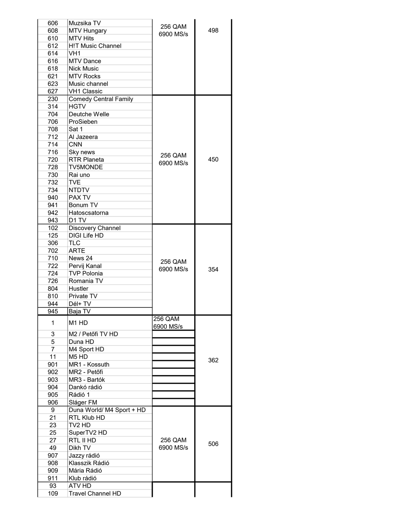| 606            | Muzsika TV                    | 256 QAM        |     |
|----------------|-------------------------------|----------------|-----|
| 608            | <b>MTV Hungary</b>            | 6900 MS/s      | 498 |
| 610            | <b>MTV Hits</b>               |                |     |
| 612            | <b>H!T Music Channel</b>      |                |     |
| 614            | VH1                           |                |     |
| 616            | <b>MTV Dance</b>              |                |     |
| 618            | <b>Nick Music</b>             |                |     |
| 621            | <b>MTV Rocks</b>              |                |     |
| 623            | Music channel                 |                |     |
| 627            | <b>VH1 Classic</b>            |                |     |
| 230            | <b>Comedy Central Family</b>  |                |     |
| 314            | <b>HGTV</b>                   |                |     |
|                |                               |                |     |
| 704            | Deutche Welle                 |                |     |
| 706            | ProSieben                     |                |     |
| 708            | Sat 1                         |                |     |
| 712            | Al Jazeera                    |                |     |
| 714            | <b>CNN</b>                    |                |     |
| 716            | Sky news                      | 256 QAM        |     |
| 720            | <b>RTR Planeta</b>            | 6900 MS/s      | 450 |
| 728            | <b>TV5MONDE</b>               |                |     |
| 730            | Rai uno                       |                |     |
| 732            | <b>TVE</b>                    |                |     |
| 734            | <b>NTDTV</b>                  |                |     |
| 940            | PAX TV                        |                |     |
| 941            | Bonum TV                      |                |     |
| 942            | Hatoscsatorna                 |                |     |
| 943            | D1 TV                         |                |     |
| 102            |                               |                |     |
|                | Discovery Channel             |                |     |
| 125            | <b>DIGI Life HD</b>           |                |     |
| 306            | TLC                           |                |     |
| 702            | <b>ARTE</b>                   |                |     |
| 710            | News 24                       | 256 QAM        |     |
| 722            | Pervij Kanal                  | 6900 MS/s      | 354 |
| 724            | <b>TVP Polonia</b>            |                |     |
| 726            | Romania TV                    |                |     |
| 804            | Hustler                       |                |     |
| 810            | Private TV                    |                |     |
| 944            | Dél+ TV                       |                |     |
| 945            | Baja TV                       |                |     |
|                |                               | <b>256 QAM</b> |     |
| 1              | M1 HD                         | 6900 MS/s      |     |
| 3              | M2 / Petőfi TV HD             |                |     |
| 5              | Duna HD                       |                |     |
| $\overline{7}$ | M4 Sport HD                   |                |     |
| 11             | M <sub>5</sub> H <sub>D</sub> |                |     |
| 901            | MR1 - Kossuth                 |                | 362 |
|                | MR2 - Petőfi                  |                |     |
| 902            |                               |                |     |
| 903            | MR3 - Bartók                  |                |     |
| 904            | Dankó rádió                   |                |     |
| 905            | Rádió 1                       |                |     |
| 906            | Sláger FM                     |                |     |
| 9              | Duna World/ M4 Sport + HD     |                |     |
| 21             | RTL Klub HD                   |                |     |
| 23             | TV2 HD                        |                |     |
| 25             | SuperTV2 HD                   |                |     |
| 27             | RTL II HD                     | 256 QAM        |     |
| 49             | Dikh TV                       | 6900 MS/s      | 506 |
| 907            | Jazzy rádió                   |                |     |
| 908            | Klasszik Rádió                |                |     |
| 909            | Mária Rádió                   |                |     |
| 911            | Klub rádió                    |                |     |
|                |                               |                |     |
| 93             | ATV HD                        |                |     |
| 109            | <b>Travel Channel HD</b>      |                |     |